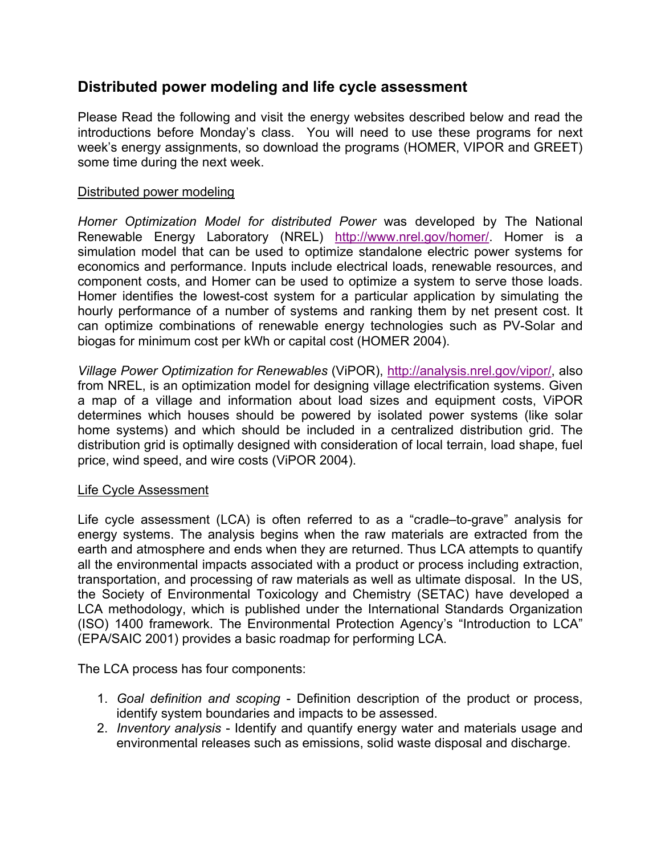## **Distributed power modeling and life cycle assessment**

Please Read the following and visit the energy websites described below and read the introductions before Monday's class. You will need to use these programs for next week's energy assignments, so download the programs (HOMER, VIPOR and GREET) some time during the next week.

## Distributed power modeling

*Homer Optimization Model for distributed Power* was developed by The National Renewable Energy Laboratory (NREL) <http://www.nrel.gov/homer/>. Homer is a simulation model that can be used to optimize standalone electric power systems for economics and performance. Inputs include electrical loads, renewable resources, and component costs, and Homer can be used to optimize a system to serve those loads. Homer identifies the lowest-cost system for a particular application by simulating the hourly performance of a number of systems and ranking them by net present cost. It can optimize combinations of renewable energy technologies such as PV-Solar and biogas for minimum cost per kWh or capital cost (HOMER 2004).

*Village Power Optimization for Renewables* (ViPOR)[, http://analysis.nrel.gov/vipor/,](http://analysis.nrel.gov/vipor/) also from NREL, is an optimization model for designing village electrification systems. Given a map of a village and information about load sizes and equipment costs, ViPOR determines which houses should be powered by isolated power systems (like solar home systems) and which should be included in a centralized distribution grid. The distribution grid is optimally designed with consideration of local terrain, load shape, fuel price, wind speed, and wire costs (ViPOR 2004).

## Life Cycle Assessment

Life cycle assessment (LCA) is often referred to as a "cradle–to-grave" analysis for energy systems. The analysis begins when the raw materials are extracted from the earth and atmosphere and ends when they are returned. Thus LCA attempts to quantify all the environmental impacts associated with a product or process including extraction, transportation, and processing of raw materials as well as ultimate disposal. In the US, the Society of Environmental Toxicology and Chemistry (SETAC) have developed a LCA methodology, which is published under the International Standards Organization (ISO) 1400 framework. The Environmental Protection Agency's "Introduction to LCA" (EPA/SAIC 2001) provides a basic roadmap for performing LCA.

The LCA process has four components:

- 1. *Goal definition and scoping*  Definition description of the product or process, identify system boundaries and impacts to be assessed.
- 2. *Inventory analysis*  Identify and quantify energy water and materials usage and environmental releases such as emissions, solid waste disposal and discharge.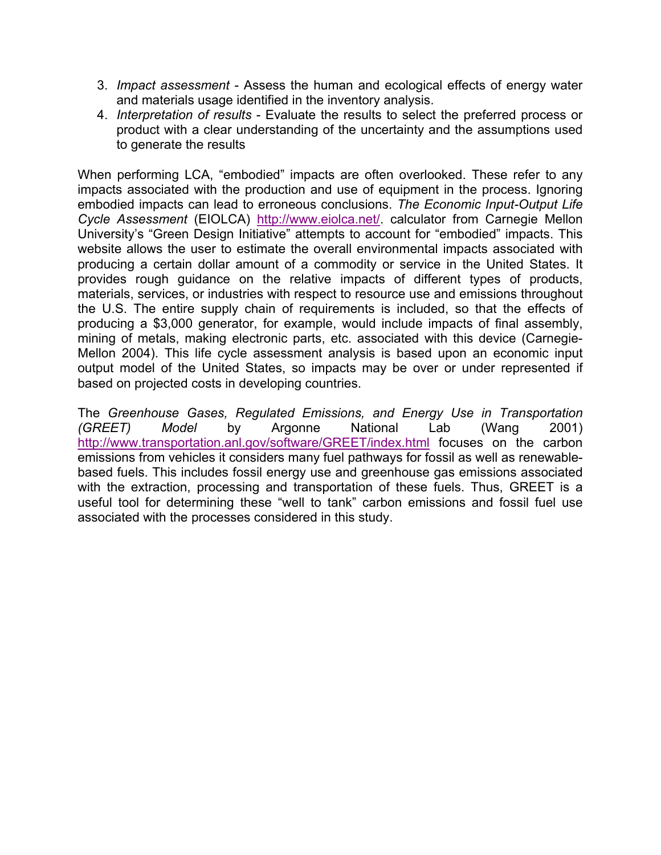- 3. *Impact assessment* Assess the human and ecological effects of energy water and materials usage identified in the inventory analysis.
- 4. *Interpretation of results* Evaluate the results to select the preferred process or product with a clear understanding of the uncertainty and the assumptions used to generate the results

When performing LCA, "embodied" impacts are often overlooked. These refer to any impacts associated with the production and use of equipment in the process. Ignoring embodied impacts can lead to erroneous conclusions. *The Economic Input-Output Life Cycle Assessment* (EIOLCA) <http://www.eiolca.net/>. calculator from Carnegie Mellon University's "Green Design Initiative" attempts to account for "embodied" impacts. This website allows the user to estimate the overall environmental impacts associated with producing a certain dollar amount of a commodity or service in the United States. It provides rough guidance on the relative impacts of different types of products, materials, services, or industries with respect to resource use and emissions throughout the U.S. The entire supply chain of requirements is included, so that the effects of producing a \$3,000 generator, for example, would include impacts of final assembly, mining of metals, making electronic parts, etc. associated with this device (Carnegie-Mellon 2004). This life cycle assessment analysis is based upon an economic input output model of the United States, so impacts may be over or under represented if based on projected costs in developing countries.

The *Greenhouse Gases, Regulated Emissions, and Energy Use in Transportation (GREET) Model* by Argonne National Lab (Wang 2001) <http://www.transportation.anl.gov/software/GREET/index.html>focuses on the carbon emissions from vehicles it considers many fuel pathways for fossil as well as renewablebased fuels. This includes fossil energy use and greenhouse gas emissions associated with the extraction, processing and transportation of these fuels. Thus, GREET is a useful tool for determining these "well to tank" carbon emissions and fossil fuel use associated with the processes considered in this study.